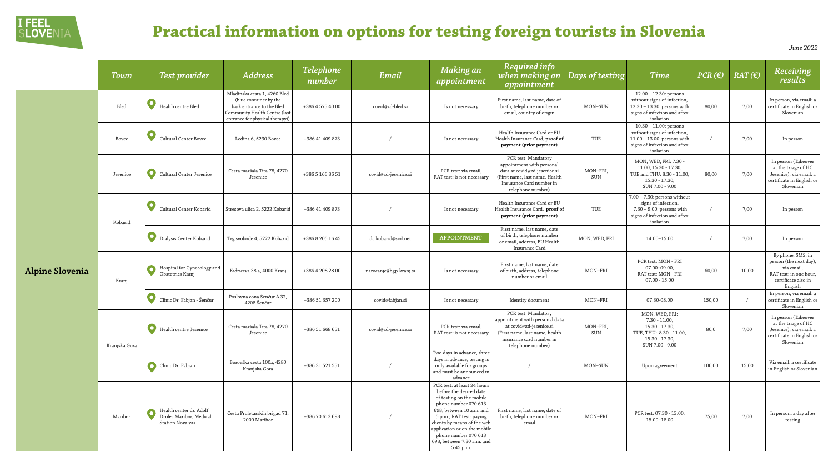|                        | Town          | Test provider                                                                 | <b>Address</b>                                                                                                                                          | <b>Telephone</b><br>number | Email                  | <b>Making an</b><br>appointment                                                                                                                                                                                                                                                                      | <b>Required info</b><br>when making an<br>appointment                                                                                                               | Days of testing | <b>Time</b>                                                                                                                          | PCR(E) | $RAT(\epsilon)$ | Receiving<br>results                                                                                                 |
|------------------------|---------------|-------------------------------------------------------------------------------|---------------------------------------------------------------------------------------------------------------------------------------------------------|----------------------------|------------------------|------------------------------------------------------------------------------------------------------------------------------------------------------------------------------------------------------------------------------------------------------------------------------------------------------|---------------------------------------------------------------------------------------------------------------------------------------------------------------------|-----------------|--------------------------------------------------------------------------------------------------------------------------------------|--------|-----------------|----------------------------------------------------------------------------------------------------------------------|
| <b>Alpine Slovenia</b> | Bled          | Health centre Bled                                                            | Mladinska cesta 1, 4260 Bled<br>(blue container by the<br>back entrance to the Bled<br>Community Health Centre (last<br>entrance for physical therapy)) | +386 4 575 40 00           | covid@zd-bled.si       | Is not necessary                                                                                                                                                                                                                                                                                     | First name, last name, date of<br>birth, telephone number or<br>email, country of origin                                                                            | MON-SUN         | 12.00 - 12.30: persons<br>without signs of infection,<br>12.30 - 13.30: persons with<br>signs of infection and after<br>isolation    | 80,00  | 7,00            | In person, via email: a<br>certificate in English or<br>Slovenian                                                    |
|                        | Bovec         | Cultural Center Bovec                                                         | Ledina 6, 5230 Bovec                                                                                                                                    | +386 41 409 873            |                        | Is not necessary                                                                                                                                                                                                                                                                                     | Health Insurance Card or EU<br>Health Insurance Card, proof of<br>payment (prior payment)                                                                           | TUE             | $10.30 - 11.00$ : persons<br>without signs of infection,<br>11.00 - 13.00: persons with<br>signs of infection and after<br>isolation |        | 7,00            | In person                                                                                                            |
|                        | Jesenice      | Cultural Center Jesenice                                                      | Cesta maršala Tita 78, 4270<br>Jesenice                                                                                                                 | +386 5 166 86 51           | covid@zd-jesenice.si   | PCR test: via email,<br>RAT test: is not necessary                                                                                                                                                                                                                                                   | PCR test: Mandatory<br>appointment with personal<br>data at covid@zd-jesenice.si<br>(First name, last name, Health<br>Insurance Card number in<br>telephone number) | MON-FRI,<br>SUN | MON, WED, FRI: 7.30 -<br>11.00, 15.30 - 17.30,<br>TUE and THU: 8.30 - 11.00,<br>$15.30 - 17.30$<br>SUN 7.00 - 9.00                   | 80,00  | 7,00            | In person (Takeover<br>at the triage of HC<br>Jesenice), via email: a<br>certificate in English or<br>Slovenian      |
|                        | Kobarid       | Cultural Center Kobarid                                                       | Stresova ulica 2, 5222 Kobarid                                                                                                                          | +386 41 409 873            |                        | Is not necessary                                                                                                                                                                                                                                                                                     | Health Insurance Card or EU<br>Health Insurance Card, proof of<br>payment (prior payment)                                                                           | TUE             | $7.00 - 7.30$ : persons without<br>signs of infection,<br>7.30 - 9.00: persons with<br>signs of infection and after<br>isolation     |        | 7,00            | In person                                                                                                            |
|                        |               | Dialysis Center Kobarid                                                       | Trg svobode 4, 5222 Kobarid                                                                                                                             | +386 8 205 16 45           | dc.kobarid@siol.net    | <b>APPOINTMENT</b>                                                                                                                                                                                                                                                                                   | First name, last name, date<br>of birth, telephone number<br>or email, address, EU Health<br>Insurance Card                                                         | MON, WED, FRI   | 14.00-15.00                                                                                                                          |        | 7,00            | In person                                                                                                            |
|                        | Kranj         | Hospital for Gynecology and<br>Obstetrics Kranj                               | Kidričeva 38 a, 4000 Kranj                                                                                                                              | +386 4 208 28 00           | narocanje@bgp-kranj.si | Is not necessary                                                                                                                                                                                                                                                                                     | First name, last name, date<br>of birth, address, telephone<br>number or email                                                                                      | MON-FRI         | PCR test: MON - FRI<br>$07.00 - 09.00$<br>RAT test: MON - FRI<br>$07.00 - 15.00$                                                     | 60,00  | 10,00           | By phone, SMS, in<br>person (the next day),<br>via email<br>RAT test: in one hour,<br>certificate also in<br>English |
|                        |               | $\bullet$<br>Clinic Dr. Fabjan - Šenčur                                       | Poslovna cona Šenčur A 32,<br>4208 Šenčur                                                                                                               | +386 51 357 200            | covid@fabjan.si        | Is not necessary                                                                                                                                                                                                                                                                                     | Identity document                                                                                                                                                   | MON-FRI         | 07.30-08.00                                                                                                                          | 150,00 |                 | In person, via email: a<br>certificate in English or<br>Slovenian                                                    |
|                        | Kranjska Gora | $\mathbf O$<br>Health centre Jesenice                                         | Cesta maršala Tita 78, 4270<br>Jesenice                                                                                                                 | +386 51 668 651            | covid@zd-jesenice.si   | PCR test: via email,<br>RAT test: is not necessary                                                                                                                                                                                                                                                   | PCR test: Mandatory<br>appointment with personal data<br>at covid@zd-jesenice.si<br>(First name, last name, health<br>insurance card number in<br>telephone number) | MON-FRI,<br>SUN | MON, WED, FRI:<br>$7.30 - 11.00,$<br>$15.30 - 17.30$ ,<br>TUE, THU: 8.30 - 11.00,<br>$15.30 - 17.30,$<br>SUN 7.00 - 9.00             | 80,0   | 7,00            | In person (Takeover<br>at the triage of HC<br>Jesenice), via email: a<br>certificate in English or<br>Slovenian      |
|                        |               | Clinic Dr. Fabjan                                                             | Borovška cesta 100a, 4280<br>Kranjska Gora                                                                                                              | +386 31 521 551            |                        | Two days in advance, three<br>days in advance, testing is<br>only available for groups<br>and must be announced in<br>advance                                                                                                                                                                        |                                                                                                                                                                     | MON-SUN         | Upon agreement                                                                                                                       | 100,00 | 15,00           | Via email: a certificate<br>in English or Slovenian                                                                  |
|                        | Maribor       | Health center dr. Adolf<br>Drolec Maribor, Medical<br><b>Station Nova vas</b> | Cesta Proletarskih brigad 71,<br>2000 Maribor                                                                                                           | +386 70 613 698            |                        | PCR test: at least 24 hours<br>before the desired date<br>of testing on the mobile<br>phone number 070 613<br>698, between 10 a.m. and<br>5 p.m.; RAT test: paying<br>clients by means of the web<br>application or on the mobile<br>phone number 070 613<br>698, between 7:30 a.m. and<br>5:45 p.m. | First name, last name, date of<br>birth, telephone number or<br>email                                                                                               | MON-FRI         | PCR test: 07.30 - 13.00,<br>15.00-18.00                                                                                              | 75,00  | 7,00            | In person, a day after<br>testing                                                                                    |

## *Days of testing Time PCR (€) RAT (€) Receiving results* erson, via email: a ficate in English or Slovenian In person verson (Takeover the triage of HC nice), via email: a ficate in English or Slovenian In person phone, SMS, in on (the next day), via email, test: in one hour, rtificate also in English erson, via email: a ficate in English or Slovenian person (Takeover the triage of HC enice), via email: a ficate in English or Slovenian iglish or Slovenian testing *June 2022*



## **Practical information on options for testing foreign tourists in Slovenia**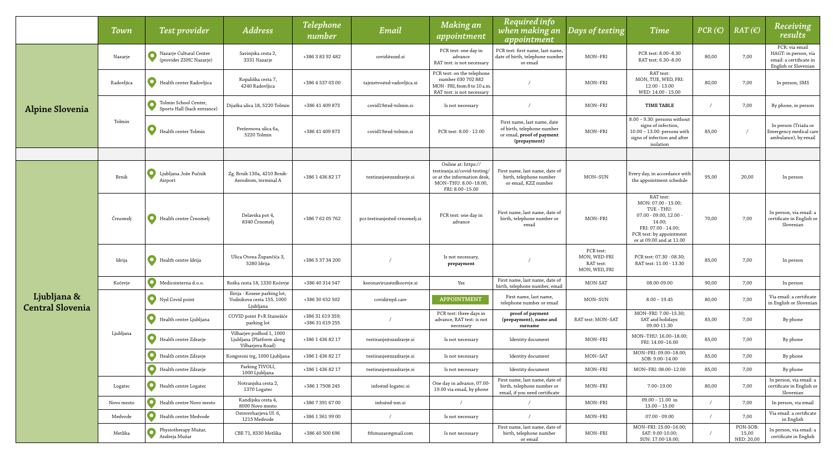|                         | Town       | Test provider                                        | <b>Address</b>                                                            | <b>Telephone</b><br>number          | Email                         | <b>Making an</b><br>appointment                                                                                               | <b>Required info</b><br>when making an<br>appointment                                                   | Days of testing                                         | Time                                                                                                                                                              | PCR(E) | $RAT(\epsilon)$                 | Receiving<br>results                                                                      |
|-------------------------|------------|------------------------------------------------------|---------------------------------------------------------------------------|-------------------------------------|-------------------------------|-------------------------------------------------------------------------------------------------------------------------------|---------------------------------------------------------------------------------------------------------|---------------------------------------------------------|-------------------------------------------------------------------------------------------------------------------------------------------------------------------|--------|---------------------------------|-------------------------------------------------------------------------------------------|
|                         | Nazarje    | Nazarje Cultural Center<br>(provider ZSHC Nazarje)   | Savinjska cesta 2,<br>3331 Nazarje                                        | +386 3 83 92 482                    | covid@zszd.si                 | PCR test: one day in<br>advance<br>RAT test: is not necessary                                                                 | PCR test: first name, last name,<br>date of birth, telephone number<br>or email                         | MON-FRI                                                 | PCR test: 8.00-8.30<br>RAT test: 6.30-8.00                                                                                                                        | 80,00  | 7,00                            | PCR: via email<br>HAGT: in person, via<br>email: a certificate in<br>English or Slovenian |
|                         | Radovljica | Health center Radovljica                             | Kopališka cesta 7,<br>4240 Radovljica                                     | +386 4 537 03 00                    | tajnistvo@zd-radovljica.si    | PCR test: on the telephone<br>number 030 702 882<br>MON - FRI, from 8 to 10 a.m.<br>RAT test: is not necessary                |                                                                                                         | MON-FRI                                                 | RAT test:<br>MON, TUE, WED, FRI:<br>$12.00 - 13.00$<br>WED: 14.00 - 15.00                                                                                         | 80,00  | 7,00                            | In person, SMS                                                                            |
| <b>Alpine Slovenia</b>  |            | Tolmin School Center,<br>Sports Hall (back entrance) | Dijaška ulica 18, 5220 Tolmin                                             | +386 41 409 873                     | covid19@zd-tolmin.si          | Is not necessary                                                                                                              |                                                                                                         | MON-FRI                                                 | TIME TABLE                                                                                                                                                        |        | 7,00                            | By phone, in person                                                                       |
|                         | Tolmin     | Health center Tolmin                                 | Prešernova ulica 6a,<br>5220 Tolmin                                       | +386 41 409 873                     | covid19@zd-tolmin.si          | PCR test: 8.00 - 12.00                                                                                                        | First name, last name, date<br>of birth, telephone number<br>or email, proof of payment<br>(prepayment) | MON-FRI                                                 | 8.00 - 9.30: persons without<br>signs of infection,<br>$10.00 - 13.00$ : persons with<br>signs of infection and after<br>isolation                                | 85,00  |                                 | In person (Triaža or<br>Emergency medical car<br>ambulance), by email                     |
|                         |            |                                                      |                                                                           |                                     |                               |                                                                                                                               |                                                                                                         |                                                         |                                                                                                                                                                   |        |                                 |                                                                                           |
|                         | Brnik      | Ljubljana Jože Pučnik<br>Airport                     | Zg. Brnik 130a, 4210 Brnik-<br>Aerodrom, terminal A                       | +386 1 436 82 17                    | testiranje@zzzdravje.si       | Online at: https://<br>testiranja.si/covid-testing/<br>or at the information desk,<br>MON-THU: 8.00-18.00,<br>FRI: 8.00-15.00 | First name, last name, date of<br>birth, telephone number<br>or email, KZZ number                       | MON-SUN                                                 | Every day, in accordance with<br>the appointment schedule                                                                                                         | 95,00  | 20,00                           | In person                                                                                 |
|                         | Črnomelj   | Health centre Črnomelj                               | Delavska pot 4,<br>8340 Črnomelj                                          | +386 7 62 05 762                    | pcr.testiranje@zd-crnomelj.si | PCR test: one day in<br>advance                                                                                               | First name, last name, date of<br>birth, telephone number or<br>email                                   | MON-FRI                                                 | RAT test:<br>MON: 07.00 - 15.00;<br>TUE - THU:<br>$07.00 - 09.00, 12.00$<br>14.00;<br>FRI: 07.00 - 14.00;<br>PCR test: by appointment<br>or at 09.00 and at 11.00 | 70,00  | 7,00                            | In person, via email: a<br>certificate in English or<br>Slovenian                         |
|                         | Idrija     | Health centre Idrija                                 | Ulica Otona Župančiča 3,<br>5280 Idrija                                   | +386 5 37 34 200                    |                               | Is not necessary,<br>prepayment                                                                                               |                                                                                                         | PCR test:<br>MON, WED-FRI<br>RAT test:<br>MON, WED, FRI | PCR test: 07.30 - 08.30;<br>RAT test: 11.00 - 13.30                                                                                                               | 85,00  | 7,00                            | In person                                                                                 |
|                         | Kočevje    | Medicointerna d.o.o.                                 | Roška cesta 18, 1330 Kočevje                                              | +386 40 314 547                     | koronavirus@zdkocevje.si      | Yes                                                                                                                           | First name, last name, date of<br>birth, telephone number, email                                        | MON-SAT                                                 | 08.00-09.00                                                                                                                                                       | 90,00  | 7,00                            | In person                                                                                 |
| Ljubljana &             | Ljubljana  | Nyd Covid point                                      | Ilirija - Koseze parking lot,<br>Vodnikova cesta 155, 1000<br>Ljubljana   | +386 30 652 502                     | covid@nyd.care                | <b>APPOINTMENT</b>                                                                                                            | First name, last name,<br>telephone number or email                                                     | MON-SUN                                                 | $8.00 - 19.45$                                                                                                                                                    | 80,00  | 7,00                            | Via email: a certificate<br>in English or Slovenian                                       |
| <b>Central Slovenia</b> |            | Health centre Ljubljana                              | COVID point P+R Stanežiče<br>parking lot                                  | +386 31 619 359;<br>+386 31 619 255 |                               | PCR test: three days in<br>advance, RAT test: is not<br>necessary                                                             | proof of payment<br>(prepayment), name and<br>surname                                                   | RAT test: MON-SAT                                       | MON-FRI: 7.00-15.30;<br>SAT and holidays:<br>09.00-11.30                                                                                                          | 85,00  | 7,00                            | By phone                                                                                  |
|                         |            | Health centre Zdravje                                | Vilharjev podhod 1, 1000<br>Ljubljana (Platform along<br>Vilharjeva Road) | +386 1 436 82 17                    | testiranje@zzzdravje.si       | Is not necessary                                                                                                              | Identity document                                                                                       | MON-FRI                                                 | MON-THU: 16.00-18.00;<br>FRI: 14.00-16.00                                                                                                                         | 85,00  | 7,00                            | By phone                                                                                  |
|                         |            | Health centre Zdravje                                | Kongresni trg, 1000 Ljubljana                                             | +386 1 436 82 17                    | testiranje@zzzdravje.si       | Is not necessary                                                                                                              | Identity document                                                                                       | MON-SAT                                                 | MON-FRI: 09.00-18.00;<br>SOB: 9.00-14.00                                                                                                                          | 85,00  | 7,00                            | By phone                                                                                  |
|                         |            | Health centre Zdravje                                | Parking TIVOLI,<br>1000 Ljubljana                                         | +386 1 436 82 17                    | testiranje@zzzdravje.si       | Is not necessary                                                                                                              | Identity document                                                                                       | MON-FRI                                                 | MON-FRI: 08.00-12.00                                                                                                                                              | 85,00  | 7,00                            | By phone                                                                                  |
|                         | Logatec    | Health centre Logatec                                | Notranjska cesta 2,<br>1370 Logatec                                       | +386 1 7508 245                     | info@zd-logatec.si            | One day in advance, 07.00-<br>19.00 via email, by phone                                                                       | First name, last name, date of<br>birth, telephone number or<br>email, if you need certificate          | MON-FRI                                                 | 7.00-19.00                                                                                                                                                        | 80,00  | 7,00                            | In person, via email: a<br>certificate in English or<br>Slovenian                         |
|                         | Novo mesto | Health centre Novo mesto                             | Kandijska cesta 4,<br>8000 Novo mesto                                     | +386 7 391 67 00                    | info@zd-nm.si                 |                                                                                                                               |                                                                                                         | MON-FRI                                                 | $09.00 - 11.00$ in<br>$13.00 - 15.00$                                                                                                                             |        | 7,00                            | In person, via email                                                                      |
|                         | Medvode    | Health centre Medvode                                | Ostrovrharjeva Ul. 6,<br>1215 Medvode                                     | +386 1 361 99 00                    |                               | Is not necessary                                                                                                              |                                                                                                         | MON-FRI                                                 | $07.00$ - $09.00$                                                                                                                                                 |        | 7,00                            | Via email: a certificate<br>in English                                                    |
|                         | Metlika    | Physiotherapy Mužar,<br>Andreja Mužar                | CBE 71, 8330 Metlika                                                      | +386 40 500 696                     | fthmuzar@gmail.com            | Is not necessary                                                                                                              | First name, last name, date of<br>birth, telephone number<br>or email                                   | MON-FRI                                                 | MON-FRI: 15.00-16.00;<br>SAT: 9.00-10.00;<br>SUN: 17.00-18.00;                                                                                                    |        | PON-SOB:<br>15,00<br>NED: 20,00 | In person, via email: a<br>certificate in English                                         |

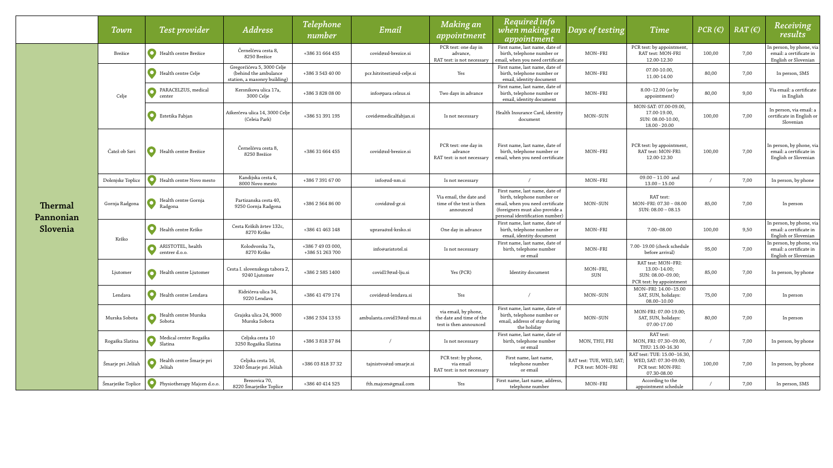|                      | Town              | <b>Test provider</b>                | <b>Address</b>                                                                      | <b>Telephone</b><br>number           | Email                      | Making an<br>appointment                                                   | <b>Required info</b><br>when making an<br>appointment                                                                                                                  | Days of testing                               | <b>Time</b>                                                                                | PCR(E) | $RAT(\epsilon)$ | Receiving<br>results                                                        |
|----------------------|-------------------|-------------------------------------|-------------------------------------------------------------------------------------|--------------------------------------|----------------------------|----------------------------------------------------------------------------|------------------------------------------------------------------------------------------------------------------------------------------------------------------------|-----------------------------------------------|--------------------------------------------------------------------------------------------|--------|-----------------|-----------------------------------------------------------------------------|
|                      | Brežice           | Health centre Brežice               | Černelčeva cesta 8,<br>8250 Brežice                                                 | +386 31 664 455                      | covid@zd-brezice.si        | PCR test: one day in<br>advance,<br>RAT test: is not necessary             | First name, last name, date of<br>birth, telephone number or<br>email, when you need certificate                                                                       | MON-FRI                                       | PCR test: by appointment,<br>RAT test: MON-FRI<br>12.00-12.30                              | 100,00 | 7,00            | In person, by phone, via<br>email: a certificate in<br>English or Slovenian |
|                      | Celje             | Health centre Celje                 | Gregorčičeva 5, 3000 Celje<br>(behind the ambulance<br>station, a masonry building) | +386 3 543 40 00                     | pcr.hitritesti@zd-celje.si | Yes                                                                        | First name, last name, date of<br>birth, telephone number or<br>email, identity document                                                                               | MON-FRI                                       | 07.00-10.00,<br>11.00-14.00                                                                | 80,00  | 7,00            | In person, SMS                                                              |
|                      |                   | PARACELZUS, medical<br>center       | Kersnikova ulica 17a,<br>3000 Celje                                                 | +386 3 828 08 00                     | info@para celzus.si        | Two days in advance                                                        | First name, last name, date of<br>birth, telephone number or<br>email, identity document                                                                               | MON-FRI                                       | 8.00-12.00 (or by<br>appointment)                                                          | 80,00  | 9,00            | Via email: a certificate<br>in English                                      |
|                      |                   | Estetika Fabjan                     | Aškerčeva ulica 14, 3000 Celje<br>(Celeia Park)                                     | +386 51 391 195                      | covid@medicalfabjan.si     | Is not necessary                                                           | Health Insurance Card, identity<br>document                                                                                                                            | MON-SUN                                       | MON-SAT: 07.00-09.00,<br>17.00-19.00,<br>SUN: 08.00-10.00,<br>$18.00 - 20.00$              | 100,00 | 7,00            | In person, via email: a<br>certificate in English or<br>Slovenian           |
| Thermal<br>Pannonian | Čatež ob Savi     | Health centre Brežice               | Černelčeva cesta 8,<br>8250 Brežice                                                 | +386 31 664 455                      | covid@zd-brezice.si        | PCR test: one day in<br>advance<br>RAT test: is not necessary              | First name, last name, date of<br>birth, telephone number or<br>email, when you need certificate                                                                       | MON-FRI                                       | PCR test: by appointment,<br>RAT test: MON-FRI:<br>12.00-12.30                             | 100,00 | 7,00            | In person, by phone, via<br>email: a certificate in<br>English or Slovenian |
|                      | Dolenjske Toplice | Health centre Novo mesto            | Kandijska cesta 4,<br>8000 Novo mesto                                               | +386 7 391 67 00                     | info@zd-nm.si              | Is not necessary                                                           |                                                                                                                                                                        | MON-FRI                                       | $09.00 - 11.00$ and<br>$13.00 - 15.00$                                                     |        | 7,00            | In person, by phone                                                         |
|                      | Gornja Radgona    | Health centre Gornja<br>Radgona     | Partizanska cesta 40,<br>9250 Gornja Radgona                                        | +386 2 564 86 00                     | covid@zd-gr.si             | Via email, the date and<br>time of the test is then<br>announced           | First name, last name, date of<br>birth, telephone number or<br>email, when you need certificate<br>(foreigners must also provide a<br>personal identification number) | MON-SUN                                       | RAT test:<br>MON-FRI: 07.30 - 08.00<br>$SUN: 08.00 - 08.15$                                | 85,00  | 7,00            | In person                                                                   |
| Slovenia             | Krško             | Health centre Krško                 | Cesta Krških žrtev 132c<br>8270 Krško                                               | +386 41 463 148                      | uprava@zd-krsko.si         | One day in advance                                                         | First name, last name, date of<br>birth, telephone number or<br>email, identity document                                                                               | MON-FRI                                       | 7.00-08.00                                                                                 | 100,00 | 9,50            | In person, by phone, via<br>email: a certificate in<br>English or Slovenian |
|                      |                   | ARISTOTEL, health<br>centrer d.o.o. | Kolodvorska 7a,<br>8270 Krško                                                       | +386 7 49 03 000,<br>+386 51 263 700 | info@aristotel.si          | Is not necessary                                                           | First name, last name, date of<br>birth, telephone number<br>or email                                                                                                  | MON-FRI                                       | 7.00-19.00 (check schedule<br>before arrival)                                              | 95,00  | 7,00            | In person, by phone, via<br>email: a certificate in<br>English or Slovenian |
|                      | Ljutomer          | Health centre Ljutomer              | Cesta I. slovenskega tabora 2,<br>9240 Ljutomer                                     | +386 2 585 1400                      | covid19@zd-lju.si          | Yes (PCR)                                                                  | Identity document                                                                                                                                                      | MON-FRI,<br>SUN                               | RAT test: MON-FRI:<br>$13.00 - 14.00;$<br>SUN: 08.00-09.00;<br>PCR test: by appointment    | 85,00  | 7,00            | In person, by phone                                                         |
|                      | Lendava           | Health centre Lendava               | Kidričeva ulica 34,<br>9220 Lendava                                                 | +386 41 479 174                      | covid@zd-lendava.si        | Yes                                                                        |                                                                                                                                                                        | MON-SUN                                       | MON-FRI: 14.00-15.00<br>SAT, SUN, holidays:<br>$08.00 - 10.00$                             | 75,00  | 7,00            | In person                                                                   |
|                      | Murska Sobota     | Health centre Murska<br>Sobota      | Grajska ulica 24, 9000<br>Murska Sobota                                             | +386 2 534 13 55                     | ambulanta.covid19@zd-ms.si | via email, by phone,<br>the date and time of the<br>test is then announced | First name, last name, date of<br>birth, telephone number or<br>email, address of stay during<br>the holiday                                                           | MON-SUN                                       | MON-FRI: 07.00-19.00;<br>SAT, SUN, holidays:<br>07.00-17.00                                | 80,00  | 7,00            | In person                                                                   |
|                      | Rogaška Slatina   | Medical center Rogaška<br>Slatina   | Celjska cesta 10<br>3250 Rogaška Slatina                                            | +386 3 818 37 84                     |                            | Is not necessary                                                           | First name, last name, date of<br>birth, telephone number<br>or email                                                                                                  | MON, THU, FRI                                 | RAT test:<br>MON, FRI: 07.30-09.00,<br>THU: 15.00-16.30                                    |        | 7,00            | In person, by phone                                                         |
|                      | Šmarje pri Jelšah | Health centre Šmarje pri<br>Jelšah  | Celjska cesta 16,<br>3240 Šmarje pri Jelšah                                         | +386 03 818 37 32                    | tajnistvo@zd-smarje.si     | PCR test: by phone,<br>via email<br>RAT test: is not necessary             | First name, last name.<br>telephone number<br>or email                                                                                                                 | RAT test: TUE, WED, SAT;<br>PCR test: MON-FRI | RAT test: TUE: 15.00–16.30,<br>WED, SAT: 07.30-09.00;<br>PCR test: MON-FRI:<br>07.30-08.00 | 100,00 | 7,00            | In person, by phone                                                         |
|                      | Šmarješke Toplice | Physiotherapy Majcen d.o.o.         | Brezovica 70,<br>8220 Šmarješke Toplice                                             | +386 40 414 525                      | fth.majcen@gmail.com       | Yes                                                                        | First name, last name, address,<br>telephone number                                                                                                                    | MON-FRI                                       | According to the<br>appointment schedule                                                   |        | 7,00            | In person, SMS                                                              |